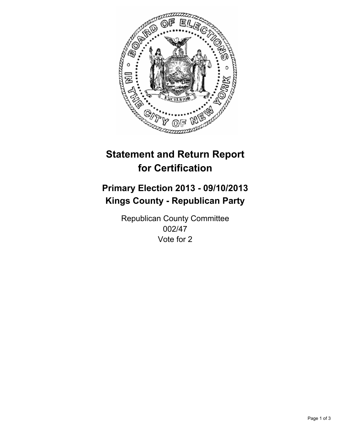

# **Statement and Return Report for Certification**

# **Primary Election 2013 - 09/10/2013 Kings County - Republican Party**

Republican County Committee 002/47 Vote for 2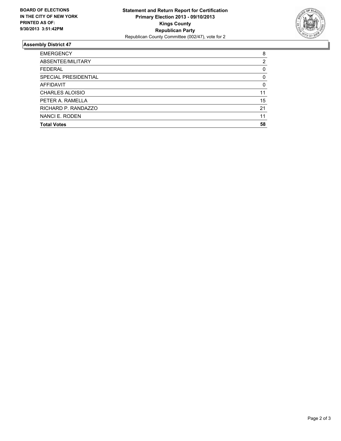

## **Assembly District 47**

| <b>EMERGENCY</b>       | 8        |
|------------------------|----------|
| ABSENTEE/MILITARY      | 2        |
| <b>FEDERAL</b>         | 0        |
| SPECIAL PRESIDENTIAL   | 0        |
| AFFIDAVIT              | $\Omega$ |
| <b>CHARLES ALOISIO</b> | 11       |
| PETER A. RAMELLA       | 15       |
| RICHARD P. RANDAZZO    | 21       |
| NANCI E. RODEN         | 11       |
| <b>Total Votes</b>     | 58       |